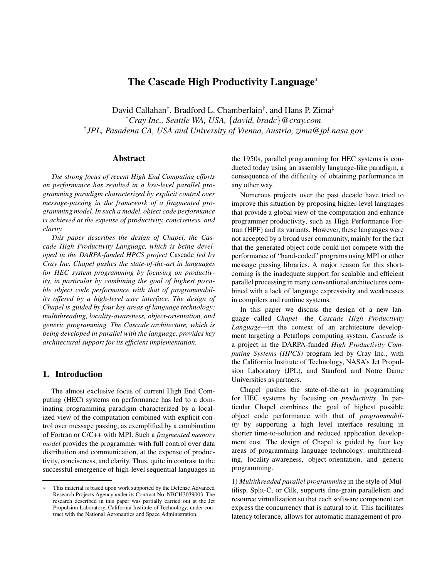# **The Cascade High Productivity Language**<sup>∗</sup>

David Callahan<sup>†</sup>, Bradford L. Chamberlain<sup>†</sup>, and Hans P. Zima<sup>‡</sup> †*Cray Inc., Seattle WA, USA,* {*david, bradc*}*@cray.com* ‡ *JPL, Pasadena CA, USA and University of Vienna, Austria, zima@jpl.nasa.gov*

#### **Abstract**

*The strong focus of recent High End Computing efforts on performance has resulted in a low-level parallel programming paradigm characterized by explicit control over message-passing in the framework of a fragmented programming model. In such a model, object code performance is achieved at the expense of productivity, conciseness, and clarity.*

*This paper describes the design of Chapel, the Cascade High Productivity Language, which is being developed in the DARPA-funded HPCS project* Cascade *led by Cray Inc. Chapel pushes the state-of-the-art in languages for HEC system programming by focusing on productivity, in particular by combining the goal of highest possible object code performance with that of programmability offered by a high-level user interface. The design of Chapel is guided by four key areas of language technology: multithreading, locality-awareness, object-orientation, and generic programming. The Cascade architecture, which is being developed in parallel with the language, provides key architectural support for its efficient implementation.*

## **1. Introduction**

The almost exclusive focus of current High End Computing (HEC) systems on performance has led to a dominating programming paradigm characterized by a localized view of the computation combined with explicit control over message passing, as exemplified by a combination of Fortran or C/C++ with MPI. Such a *fragmented memory model* provides the programmer with full control over data distribution and communication, at the expense of productivity, conciseness, and clarity. Thus, quite in contrast to the successful emergence of high-level sequential languages in

the 1950s, parallel programming for HEC systems is conducted today using an assembly language-like paradigm, a consequence of the difficulty of obtaining performance in any other way.

Numerous projects over the past decade have tried to improve this situation by proposing higher-level languages that provide a global view of the computation and enhance programmer productivity, such as High Performance Fortran (HPF) and its variants. However, these languages were not accepted by a broad user community, mainly for the fact that the generated object code could not compete with the performance of "hand-coded" programs using MPI or other message passing libraries. A major reason for this shortcoming is the inadequate support for scalable and efficient parallel processing in many conventional architectures combined with a lack of language expressivity and weaknesses in compilers and runtime systems.

In this paper we discuss the design of a new language called *Chapel*—the *Cascade High Productivity Language*—in the context of an architecture development targeting a Petaflops computing system. *Cascade* is a project in the DARPA-funded *High Productivity Computing Systems (HPCS)* program led by Cray Inc., with the California Institute of Technology, NASA's Jet Propulsion Laboratory (JPL), and Stanford and Notre Dame Universities as partners.

Chapel pushes the state-of-the-art in programming for HEC systems by focusing on *productivity*. In particular Chapel combines the goal of highest possible object code performance with that of *programmability* by supporting a high level interface resulting in shorter time-to-solution and reduced application development cost. The design of Chapel is guided by four key areas of programming language technology: multithreading, locality-awareness, object-orientation, and generic programming.

1) *Multithreaded parallel programming* in the style of Multilisp, Split-C, or Cilk, supports fine-grain parallelism and resource virtualization so that each software component can express the concurrency that is natural to it. This facilitates latency tolerance, allows for automatic management of pro-

This material is based upon work supported by the Defense Advanced Research Projects Agency under its Contract No. NBCH3039003. The research described in this paper was partially carried out at the Jet Propulsion Laboratory, California Institute of Technology, under contract with the National Aeronautics and Space Administration.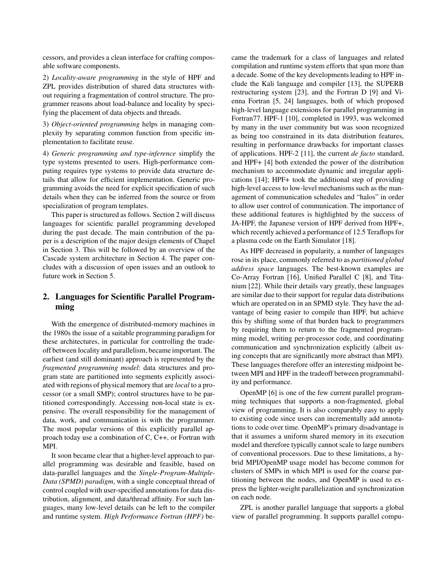cessors, and provides a clean interface for crafting composable software components.

2) *Locality-aware programming* in the style of HPF and ZPL provides distribution of shared data structures without requiring a fragmentation of control structure. The programmer reasons about load-balance and locality by specifying the placement of data objects and threads.

3) *Object-oriented programming* helps in managing complexity by separating common function from specific implementation to facilitate reuse.

4) *Generic programming and type-inference* simplify the type systems presented to users. High-performance computing requires type systems to provide data structure details that allow for efficient implementation. Generic programming avoids the need for explicit specification of such details when they can be inferred from the source or from specialization of program templates.

This paper is structured as follows. Section 2 will discuss languages for scientific parallel programming developed during the past decade. The main contribution of the paper is a description of the major design elements of Chapel in Section 3. This will be followed by an overview of the Cascade system architecture in Section 4. The paper concludes with a discussion of open issues and an outlook to future work in Section 5.

# **2. Languages for Scientific Parallel Programming**

With the emergence of distributed-memory machines in the 1980s the issue of a suitable programming paradigm for these architectures, in particular for controlling the tradeoff between locality and parallelism, became important. The earliest (and still dominant) approach is represented by the *fragmented programming model*: data structures and program state are partitioned into segments explicitly associated with regions of physical memory that are *local* to a processor (or a small SMP); control structures have to be partitioned correspondingly. Accessing non-local state is expensive. The overall responsibility for the management of data, work, and communication is with the programmer. The most popular versions of this explicitly parallel approach today use a combination of C, C++, or Fortran with MPI.

It soon became clear that a higher-level approach to parallel programming was desirable and feasible, based on data-parallel languages and the *Single-Program-Multiple-Data (SPMD) paradigm*, with a single conceptual thread of control coupled with user-specified annotations for data distribution, alignment, and data/thread affinity. For such languages, many low-level details can be left to the compiler and runtime system. *High Performance Fortran (HPF)* be-

came the trademark for a class of languages and related compilation and runtime system efforts that span more than a decade. Some of the key developments leading to HPF include the Kali language and compiler [13], the SUPERB restructuring system [23], and the Fortran D [9] and Vienna Fortran [5, 24] languages, both of which proposed high-level language extensions for parallel programming in Fortran77. HPF-1 [10], completed in 1993, was welcomed by many in the user community but was soon recognized as being too constrained in its data distribution features, resulting in performance drawbacks for important classes of applications. HPF-2 [11], the current *de facto* standard, and HPF+ [4] both extended the power of the distribution mechanism to accommodate dynamic and irregular applications [14]; HPF+ took the additional step of providing high-level access to low-level mechanisms such as the management of communication schedules and "halos" in order to allow user control of communication. The importance of these additional features is highlighted by the success of JA-HPF, the Japanese version of HPF derived from HPF+, which recently achieved a performance of 12.5 Teraflops for a plasma code on the Earth Simulator [18].

As HPF decreased in popularity, a number of languages rose in its place, commonly referred to as *partitioned global address space* languages. The best-known examples are Co-Array Fortran [16], Unified Parallel C [8], and Titanium [22]. While their details vary greatly, these languages are similar due to their support for regular data distributions which are operated on in an SPMD style. They have the advantage of being easier to compile than HPF, but achieve this by shifting some of that burden back to programmers by requiring them to return to the fragmented programming model, writing per-processor code, and coordinating communication and synchronization explicitly (albeit using concepts that are significantly more abstract than MPI). These languages therefore offer an interesting midpoint between MPI and HPF in the tradeoff between programmability and performance.

OpenMP [6] is one of the few current parallel programming techniques that supports a non-fragmented, global view of programming. It is also comparably easy to apply to existing code since users can incrementally add annotations to code over time. OpenMP's primary disadvantage is that it assumes a uniform shared memory in its execution model and therefore typically cannot scale to large numbers of conventional processors. Due to these limitations, a hybrid MPI/OpenMP usage model has become common for clusters of SMPs in which MPI is used for the coarse partitioning between the nodes, and OpenMP is used to express the lighter-weight parallelization and synchronization on each node.

ZPL is another parallel language that supports a global view of parallel programming. It supports parallel compu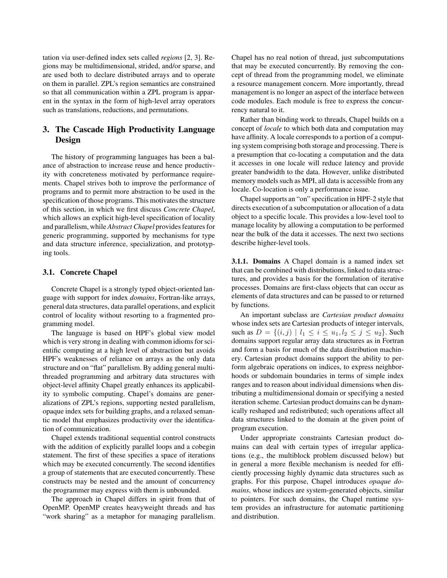tation via user-defined index sets called *regions* [2, 3]. Regions may be multidimensional, strided, and/or sparse, and are used both to declare distributed arrays and to operate on them in parallel. ZPL's region semantics are constrained so that all communication within a ZPL program is apparent in the syntax in the form of high-level array operators such as translations, reductions, and permutations.

# **3. The Cascade High Productivity Language Design**

The history of programming languages has been a balance of abstraction to increase reuse and hence productivity with concreteness motivated by performance requirements. Chapel strives both to improve the performance of programs and to permit more abstraction to be used in the specification of those programs. This motivates the structure of this section, in which we first discuss *Concrete Chapel*, which allows an explicit high-level specification of locality and parallelism, while *Abstract Chapel* provides features for generic programming, supported by mechanisms for type and data structure inference, specialization, and prototyping tools.

## **3.1. Concrete Chapel**

Concrete Chapel is a strongly typed object-oriented language with support for index *domains*, Fortran-like arrays, general data structures, data parallel operations, and explicit control of locality without resorting to a fragmented programming model.

The language is based on HPF's global view model which is very strong in dealing with common idioms forscientific computing at a high level of abstraction but avoids HPF's weaknesses of reliance on arrays as the only data structure and on "flat" parallelism. By adding general multithreaded programming and arbitrary data structures with object-level affinity Chapel greatly enhances its applicability to symbolic computing. Chapel's domains are generalizations of ZPL's regions, supporting nested parallelism, opaque index sets for building graphs, and a relaxed semantic model that emphasizes productivity over the identification of communication.

Chapel extends traditional sequential control constructs with the addition of explicitly parallel loops and a cobegin statement. The first of these specifies a space of iterations which may be executed concurrently. The second identifies a group of statements that are executed concurrently. These constructs may be nested and the amount of concurrency the programmer may express with them is unbounded.

The approach in Chapel differs in spirit from that of OpenMP. OpenMP creates heavyweight threads and has "work sharing" as a metaphor for managing parallelism.

Chapel has no real notion of thread, just subcomputations that may be executed concurrently. By removing the concept of thread from the programming model, we eliminate a resource management concern. More importantly, thread management is no longer an aspect of the interface between code modules. Each module is free to express the concurrency natural to it.

Rather than binding work to threads, Chapel builds on a concept of *locale* to which both data and computation may have affinity. A locale corresponds to a portion of a computing system comprising both storage and processing. There is a presumption that co-locating a computation and the data it accesses in one locale will reduce latency and provide greater bandwidth to the data. However, unlike distributed memory models such as MPI, all data is accessible from any locale. Co-location is only a performance issue.

Chapel supports an "on" specification in HPF-2 style that directs execution of a subcomputation or allocation of a data object to a specific locale. This provides a low-level tool to manage locality by allowing a computation to be performed near the bulk of the data it accesses. The next two sections describe higher-level tools.

**3.1.1. Domains** A Chapel domain is a named index set that can be combined with distributions, linked to data structures, and provides a basis for the formulation of iterative processes. Domains are first-class objects that can occur as elements of data structures and can be passed to or returned by functions.

An important subclass are *Cartesian product domains* whose index sets are Cartesian products of integer intervals, such as  $D = \{(i, j) | l_1 \le i \le u_1, l_2 \le j \le u_2\}$ . Such domains support regular array data structures as in Fortran and form a basis for much of the data distribution machinery. Cartesian product domains support the ability to perform algebraic operations on indices, to express neighborhoods or subdomain boundaries in terms of simple index ranges and to reason about individual dimensions when distributing a multidimensional domain or specifying a nested iteration scheme. Cartesian product domains can be dynamically reshaped and redistributed; such operations affect all data structures linked to the domain at the given point of program execution.

Under appropriate constraints Cartesian product domains can deal with certain types of irregular applications (e.g., the multiblock problem discussed below) but in general a more flexible mechanism is needed for efficiently processing highly dynamic data structures such as graphs. For this purpose, Chapel introduces *opaque domains*, whose indices are system-generated objects, similar to pointers. For such domains, the Chapel runtime system provides an infrastructure for automatic partitioning and distribution.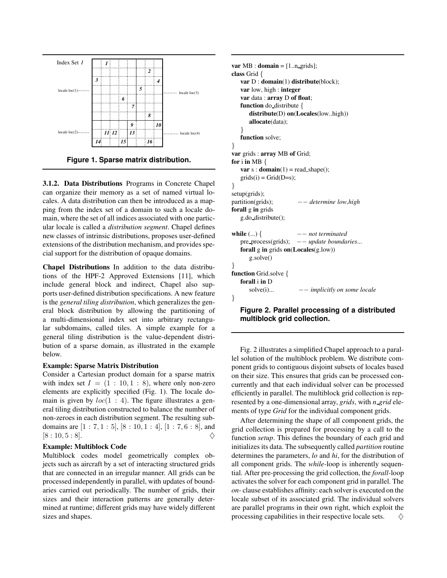

**Figure 1. Sparse matrix distribution.**

**3.1.2. Data Distributions** Programs in Concrete Chapel can organize their memory as a set of named virtual locales. A data distribution can then be introduced as a mapping from the index set of a domain to such a locale domain, where the set of all indices associated with one particular locale is called a *distribution segment*. Chapel defines new classes of intrinsic distributions, proposes user-defined extensions of the distribution mechanism, and provides special support for the distribution of opaque domains.

**Chapel Distributions** In addition to the data distributions of the HPF-2 Approved Extensions [11], which include general block and indirect, Chapel also supports user-defined distribution specifications. A new feature is the *general tiling distribution*, which generalizes the general block distribution by allowing the partitioning of a multi-dimensional index set into arbitrary rectangular subdomains, called tiles. A simple example for a general tiling distribution is the value-dependent distribution of a sparse domain, as illustrated in the example below.

#### **Example: Sparse Matrix Distribution**

Consider a Cartesian product domain for a sparse matrix with index set  $I = (1 : 10, 1 : 8)$ , where only non-zero elements are explicitly specified (Fig. 1). The locale domain is given by  $loc(1: 4)$ . The figure illustrates a general tiling distribution constructed to balance the number of non-zeroes in each distribution segment. The resulting subdomains are  $[1: 7, 1: 5]$ ,  $[8: 10, 1: 4]$ ,  $[1: 7, 6: 8]$ , and  $[8:10,5:8]$ .

#### **Example: Multiblock Code**

Multiblock codes model geometrically complex objects such as aircraft by a set of interacting structured grids that are connected in an irregular manner. All grids can be processed independently in parallel, with updates of boundaries carried out periodically. The number of grids, their sizes and their interaction patterns are generally determined at runtime; different grids may have widely different sizes and shapes.

```
var MB : domain = [1..n grids];
class Grid {
   var D : domain(1) distribute(block);
   var low, high : integer
   var data : array D of float;
   function do distribute {
      distribute(D) on(Locales(low..high))
      allocate(data);
   }
   function solve;
}
var grids : array MB of Grid;
for i in MB {
   var s : domain(1) = read_shape();
   grids(i) = Grid(D=s);}
setup(grids);
partition(grids); −− determine low,high
forall g in grids
   g.do distribute();
while (...) { –− not terminated
   pre_process(grids); −− update boundaries...
   forall g in grids on(Locales(g.low))
      g.solve()
}
function Grid.solve {
   forall i in D
      solve(i)... −− implicitly on some locale
}
```
#### **Figure 2. Parallel processing of a distributed multiblock grid collection.**

Fig. 2 illustrates a simplified Chapel approach to a parallel solution of the multiblock problem. We distribute component grids to contiguous disjoint subsets of locales based on their size. This ensures that grids can be processed concurrently and that each individual solver can be processed efficiently in parallel. The multiblock grid collection is represented by a one-dimensional array, *grids*, with *n grid* elements of type *Grid* for the individual component grids.

After determining the shape of all component grids, the grid collection is prepared for processing by a call to the function *setup*. This defines the boundary of each grid and initializes its data. The subsequently called *partition* routine determines the parameters, *lo* and *hi*, for the distribution of all component grids. The *while-*loop is inherently sequential. After pre-processing the grid collection, the *forall-*loop activates the solver for each component grid in parallel. The *on-* clause establishes affinity: each solver is executed on the locale subset of its associated grid. The individual solvers are parallel programs in their own right, which exploit the processing capabilities in their respective locale sets.  $\Diamond$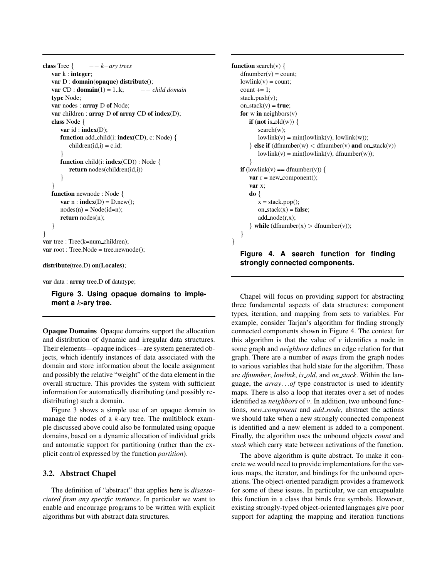```
class Tree { −− k−ary trees
   var k : integer;
   var D : domain(opaque) distribute();
   var CD : domain(1) = 1..k; \t--- child domaintype Node;
   var nodes : array D of Node;
   var children : array D of array CD of index(D);
  class Node {
      var id : index(D);
      function add child(i: index(CD), c: Node) {
         children(id,i) = c.id;}
      function child(i: index(CD)) : Node {
         return nodes(children(id,i))
      }
   }
  function newnode : Node {
      var n : index(D) = D.new();nodes(n) = Node(id=n);return nodes(n);
   }
}
var tree : Tree(k=num_children);
var root : Tree.Node = tree.newnode();
```
**distribute**(tree.D) **on**(**Locales**);

**var** data : **array** tree.D **of** datatype;

## **Figure 3. Using opaque domains to implement a** k**-ary tree.**

**Opaque Domains** Opaque domains support the allocation and distribution of dynamic and irregular data structures. Their elements—opaque indices—are system generated objects, which identify instances of data associated with the domain and store information about the locale assignment and possibly the relative "weight" of the data element in the overall structure. This provides the system with sufficient information for automatically distributing (and possibly redistributing) such a domain.

Figure 3 shows a simple use of an opaque domain to manage the nodes of a  $k$ -ary tree. The multiblock example discussed above could also be formulated using opaque domains, based on a dynamic allocation of individual grids and automatic support for partitioning (rather than the explicit control expressed by the function *partition*).

#### **3.2. Abstract Chapel**

The definition of "abstract" that applies here is *disassociated from any specific instance*. In particular we want to enable and encourage programs to be written with explicit algorithms but with abstract data structures.

## **function** search(v) {  $dfnumber(v) = count;$  $lowlink(v) = count;$ count  $+= 1$ ; stack.push(v); on  $stack(v) = true;$ **for** w **in** neighbors $(v)$ **if** (**not** is old(w)) { search(w);  $lowlink(v) = min(lowlink(v), lowlink(w));$  $\}$  **else if** (dfnumber(w) < dfnumber(v) **and** on stack(v))  $lowlink(v) = min(longlink(v), dfnumber(w));$ } **if** (lowlink(v) == dfnumber(v)) { **var**  $r = new component();$ **var** x; **do** {  $x = stack.pop();$ on  $stack(x) = false$ ; add\_node $(r,x)$ ;  $\}$  while (dfnumber(x) > dfnumber(v)); } }

## **Figure 4. A search function for finding strongly connected components.**

Chapel will focus on providing support for abstracting three fundamental aspects of data structures: component types, iteration, and mapping from sets to variables. For example, consider Tarjan's algorithm for finding strongly connected components shown in Figure 4. The context for this algorithm is that the value of  $\nu$  identifies a node in some graph and *neighbors* defines an edge relation for that graph. There are a number of *maps* from the graph nodes to various variables that hold state for the algorithm. These are *dfnumber*, *lowlink*, *is old*, and *on stack*. Within the language, the *array*. . .*of* type constructor is used to identify maps. There is also a loop that iterates over a set of nodes identified as *neighbors* of *v*. In addition, two unbound functions, *new component* and *add node*, abstract the actions we should take when a new strongly connected component is identified and a new element is added to a component. Finally, the algorithm uses the unbound objects *count* and *stack* which carry state between activations of the function.

The above algorithm is quite abstract. To make it concrete we would need to provide implementations for the various maps, the iterator, and bindings for the unbound operations. The object-oriented paradigm provides a framework for some of these issues. In particular, we can encapsulate this function in a class that binds free symbols. However, existing strongly-typed object-oriented languages give poor support for adapting the mapping and iteration functions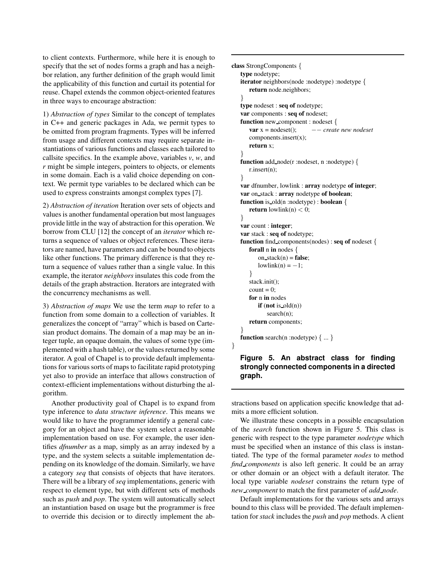to client contexts. Furthermore, while here it is enough to specify that the set of nodes forms a graph and has a neighbor relation, any further definition of the graph would limit the applicability of this function and curtail its potential for reuse. Chapel extends the common object-oriented features in three ways to encourage abstraction:

1) *Abstraction of types* Similar to the concept of templates in C++ and generic packages in Ada, we permit types to be omitted from program fragments. Types will be inferred from usage and different contexts may require separate instantiations of various functions and classes each tailored to callsite specifics. In the example above, variables *v*, *w*, and *r* might be simple integers, pointers to objects, or elements in some domain. Each is a valid choice depending on context. We permit type variables to be declared which can be used to express constraints amongst complex types [7].

2) *Abstraction of iteration* Iteration over sets of objects and values is another fundamental operation but most languages provide little in the way of abstraction for this operation. We borrow from CLU [12] the concept of an *iterator* which returns a sequence of values or object references. These iterators are named, have parameters and can be bound to objects like other functions. The primary difference is that they return a sequence of values rather than a single value. In this example, the iterator *neighbors* insulates this code from the details of the graph abstraction. Iterators are integrated with the concurrency mechanisms as well.

3) *Abstraction of maps* We use the term *map* to refer to a function from some domain to a collection of variables. It generalizes the concept of "array" which is based on Cartesian product domains. The domain of a map may be an integer tuple, an opaque domain, the values of some type (implemented with a hash table), or the values returned by some iterator. A goal of Chapel is to provide default implementations for various sorts of maps to facilitate rapid prototyping yet also to provide an interface that allows construction of context-efficient implementations without disturbing the algorithm.

Another productivity goal of Chapel is to expand from type inference to *data structure inference*. This means we would like to have the programmer identify a general category for an object and have the system select a reasonable implementation based on use. For example, the user identifies *dfnumber* as a map, simply as an array indexed by a type, and the system selects a suitable implementation depending on its knowledge of the domain. Similarly, we have a category *seq* that consists of objects that have iterators. There will be a library of *seq* implementations, generic with respect to element type, but with different sets of methods such as *push* and *pop*. The system will automatically select an instantiation based on usage but the programmer is free to override this decision or to directly implement the ab**class** StrongComponents { **type** nodetype; **iterator** neighbors(node :nodetype) :nodetype { **return** node.neighbors; } **type** nodeset : **seq of** nodetype; **var** components : **seq of** nodeset; **function** new component : nodeset { **var** x = nodeset(); −− *create new nodeset* components.insert(x); **return** x; } **function** add\_node(r:nodeset, n:nodetype) { r.insert(n); } **var** dfnumber, lowlink : **array** nodetype **of integer**; **var** on stack : **array** nodetype **of boolean**; **function** is old(n :nodetype) : **boolean** { **return** lowlink(n)  $< 0$ ; } **var** count : **integer**; **var** stack : **seq of** nodetype; **function** find components(nodes) : **seq of** nodeset { **forall** n **in** nodes { on  $stack(n) = false;$  $lowlink(n) = -1;$ } stack.init();  $count = 0$ ; **for** n **in** nodes **if** (**not** is old(n)) search(n); **return** components; } **function** search(n :nodetype)  $\{ \dots \}$ }

# **Figure 5. An abstract class for finding strongly connected components in a directed graph.**

stractions based on application specific knowledge that admits a more efficient solution.

We illustrate these concepts in a possible encapsulation of the *search* function shown in Figure 5. This class is generic with respect to the type parameter *nodetype* which must be specified when an instance of this class is instantiated. The type of the formal parameter *nodes* to method *find components* is also left generic. It could be an array or other domain or an object with a default iterator. The local type variable *nodeset* constrains the return type of *new component* to match the first parameter of *add node*.

Default implementations for the various sets and arrays bound to this class will be provided. The default implementation for *stack* includes the *push* and *pop* methods. A client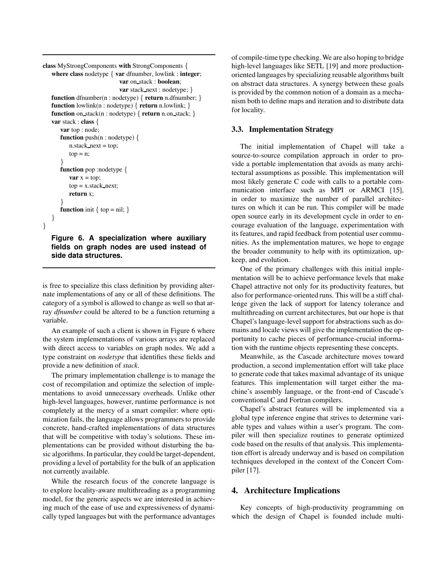```
class MyStrongComponents with StrongComponents {
   where class nodetype { var dfnumber, lowlink : integer;
                             var on stack : boolean;
                             var stack_next : nodetype; }
   function dfnumber(n : nodetype) { return n.dfnumber; }
   function lowlink(n : nodetype) { return n.lowlink; }
   function on stack(n : nodetype) { return n.on stack; }
   var stack : class {
      var top : node;
      function push(n : nodetype) {
          n.stack\_next = top;top = n;
       }
      function pop :nodetype {
          var x = top;
          top = x.\text{stack\_next};return x;
       }
      function init { top = nil; }
   }
}
```
**Figure 6. A specialization where auxiliary fields on graph nodes are used instead of side data structures.**

is free to specialize this class definition by providing alternate implementations of any or all of these definitions. The category of a symbol is allowed to change as well so that array *dfnumber* could be altered to be a function returning a variable.

An example of such a client is shown in Figure 6 where the system implementations of various arrays are replaced with direct access to variables on graph nodes. We add a type constraint on *nodetype* that identifies these fields and provide a new definition of *stack*.

The primary implementation challenge is to manage the cost of recompilation and optimize the selection of implementations to avoid unnecessary overheads. Unlike other high-level languages, however, runtime performance is not completely at the mercy of a smart compiler: where optimization fails, the language allows programmers to provide concrete, hand-crafted implementations of data structures that will be competitive with today's solutions. These implementations can be provided without disturbing the basic algorithms. In particular, they could be target-dependent, providing a level of portability for the bulk of an application not currently available.

While the research focus of the concrete language is to explore locality-aware multithreading as a programming model, for the generic aspects we are interested in achieving much of the ease of use and expressiveness of dynamically typed languages but with the performance advantages

of compile-time type checking. We are also hoping to bridge high-level languages like SETL [19] and more productionoriented languages by specializing reusable algorithms built on abstract data structures. A synergy between these goals is provided by the common notion of a domain as a mechanism both to define maps and iteration and to distribute data for locality.

#### **3.3. Implementation Strategy**

The initial implementation of Chapel will take a source-to-source compilation approach in order to provide a portable implementation that avoids as many architectural assumptions as possible. This implementation will most likely generate C code with calls to a portable communication interface such as MPI or ARMCI [15], in order to maximize the number of parallel architectures on which it can be run. This compiler will be made open source early in its development cycle in order to encourage evaluation of the language, experimentation with its features, and rapid feedback from potential user communities. As the implementation matures, we hope to engage the broader community to help with its optimization, upkeep, and evolution.

One of the primary challenges with this initial implementation will be to achieve performance levels that make Chapel attractive not only for its productivity features, but also for performance-oriented runs. This will be a stiff challenge given the lack of support for latency tolerance and multithreading on current architectures, but our hope is that Chapel's language-level support for abstractions such as domains and locale views will give the implementation the opportunity to cache pieces of performance-crucial information with the runtime objects representing these concepts.

Meanwhile, as the Cascade architecture moves toward production, a second implementation effort will take place to generate code that takes maximal advantage of its unique features. This implementation will target either the machine's assembly language, or the front-end of Cascade's conventional C and Fortran compilers.

Chapel's abstract features will be implemented via a global type inference engine that strives to determine variable types and values within a user's program. The compiler will then specialize routines to generate optimized code based on the results of that analysis. This implementation effort is already underway and is based on compilation techniques developed in the context of the Concert Compiler [17].

## **4. Architecture Implications**

Key concepts of high-productivity programming on which the design of Chapel is founded include multi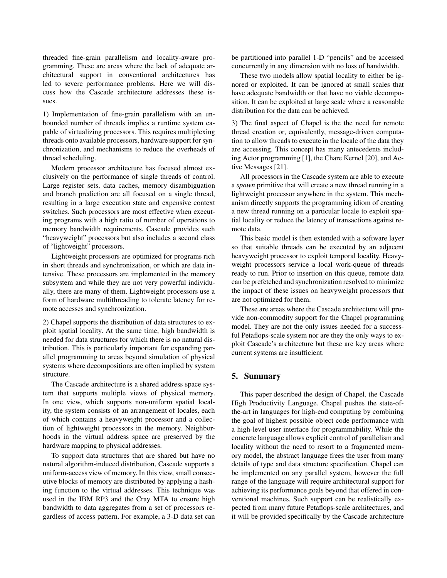threaded fine-grain parallelism and locality-aware programming. These are areas where the lack of adequate architectural support in conventional architectures has led to severe performance problems. Here we will discuss how the Cascade architecture addresses these issues.

1) Implementation of fine-grain parallelism with an unbounded number of threads implies a runtime system capable of virtualizing processors. This requires multiplexing threads onto available processors, hardware support for synchronization, and mechanisms to reduce the overheads of thread scheduling.

Modern processor architecture has focused almost exclusively on the performance of single threads of control. Large register sets, data caches, memory disambiguation and branch prediction are all focused on a single thread, resulting in a large execution state and expensive context switches. Such processors are most effective when executing programs with a high ratio of number of operations to memory bandwidth requirements. Cascade provides such "heavyweight" processors but also includes a second class of "lightweight" processors.

Lightweight processors are optimized for programs rich in short threads and synchronization, or which are data intensive. These processors are implemented in the memory subsystem and while they are not very powerful individually, there are many of them. Lightweight processors use a form of hardware multithreading to tolerate latency for remote accesses and synchronization.

2) Chapel supports the distribution of data structures to exploit spatial locality. At the same time, high bandwidth is needed for data structures for which there is no natural distribution. This is particularly important for expanding parallel programming to areas beyond simulation of physical systems where decompositions are often implied by system structure.

The Cascade architecture is a shared address space system that supports multiple views of physical memory. In one view, which supports non-uniform spatial locality, the system consists of an arrangement of locales, each of which contains a heavyweight processor and a collection of lightweight processors in the memory. Neighborhoods in the virtual address space are preserved by the hardware mapping to physical addresses.

To support data structures that are shared but have no natural algorithm-induced distribution, Cascade supports a uniform-access view of memory. In this view, small consecutive blocks of memory are distributed by applying a hashing function to the virtual addresses. This technique was used in the IBM RP3 and the Cray MTA to ensure high bandwidth to data aggregates from a set of processors regardless of access pattern. For example, a 3-D data set can

be partitioned into parallel 1-D "pencils" and be accessed concurrently in any dimension with no loss of bandwidth.

These two models allow spatial locality to either be ignored or exploited. It can be ignored at small scales that have adequate bandwidth or that have no viable decomposition. It can be exploited at large scale where a reasonable distribution for the data can be achieved.

3) The final aspect of Chapel is the the need for remote thread creation or, equivalently, message-driven computation to allow threads to execute in the locale of the data they are accessing. This concept has many antecedents including Actor programming [1], the Chare Kernel [20], and Active Messages [21].

All processors in the Cascade system are able to execute a *spawn* primitive that will create a new thread running in a lightweight processor anywhere in the system. This mechanism directly supports the programming idiom of creating a new thread running on a particular locale to exploit spatial locality or reduce the latency of transactions against remote data.

This basic model is then extended with a software layer so that suitable threads can be executed by an adjacent heavyweight processor to exploit temporal locality. Heavyweight processors service a local work-queue of threads ready to run. Prior to insertion on this queue, remote data can be prefetched and synchronization resolved to minimize the impact of these issues on heavyweight processors that are not optimized for them.

These are areas where the Cascade architecture will provide non-commodity support for the Chapel programming model. They are not the only issues needed for a successful Petaflops-scale system nor are they the only ways to exploit Cascade's architecture but these are key areas where current systems are insufficient.

#### **5. Summary**

This paper described the design of Chapel, the Cascade High Productivity Language. Chapel pushes the state-ofthe-art in languages for high-end computing by combining the goal of highest possible object code performance with a high-level user interface for programmability. While the concrete language allows explicit control of parallelism and locality without the need to resort to a fragmented memory model, the abstract language frees the user from many details of type and data structure specification. Chapel can be implemented on any parallel system, however the full range of the language will require architectural support for achieving its performance goals beyond that offered in conventional machines. Such support can be realistically expected from many future Petaflops-scale architectures, and it will be provided specifically by the Cascade architecture